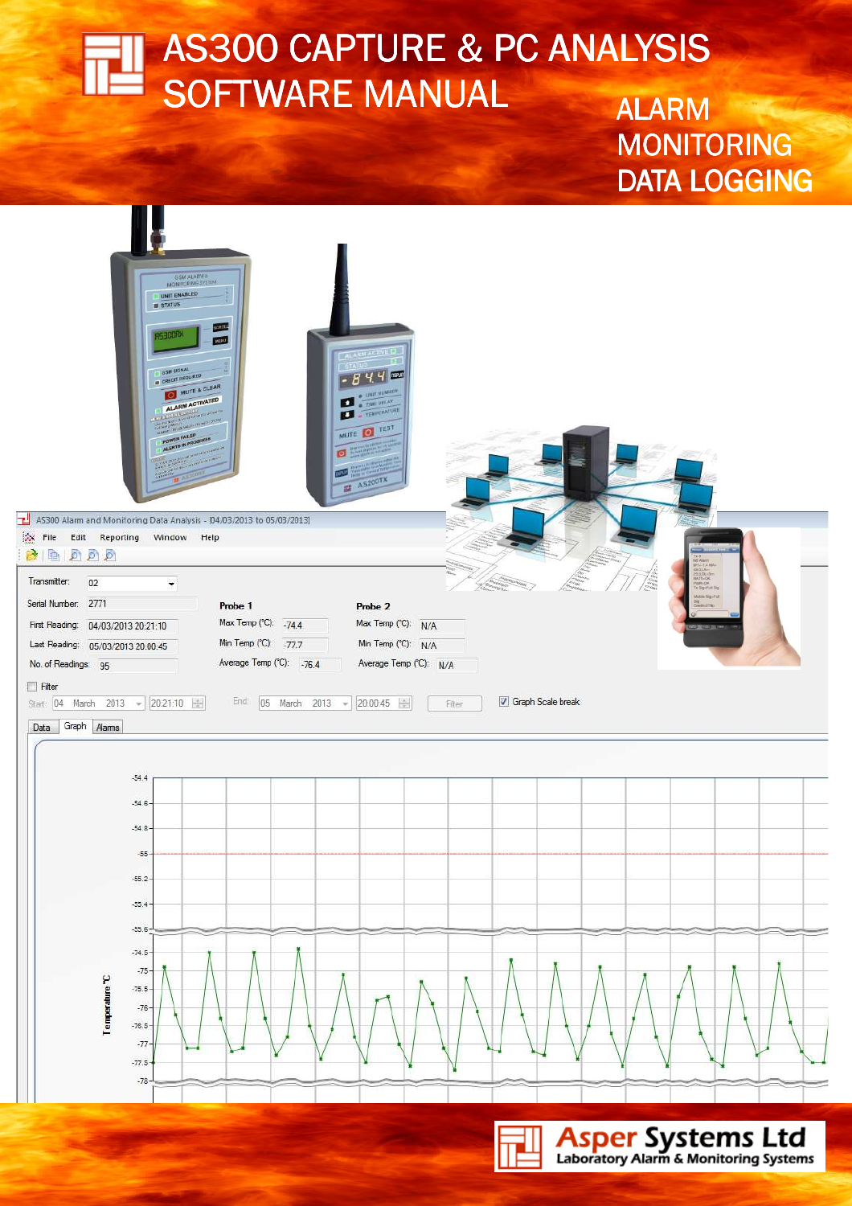# $\overline{\phantom{a}}$  and  $\overline{\phantom{a}}$ AS300 CAPTURE & PC ANALYSIS SOFTWARE MANUAL ALARM

MONITORING DATA LOGGING



**© Doc No 1305-AS300SW-001** 

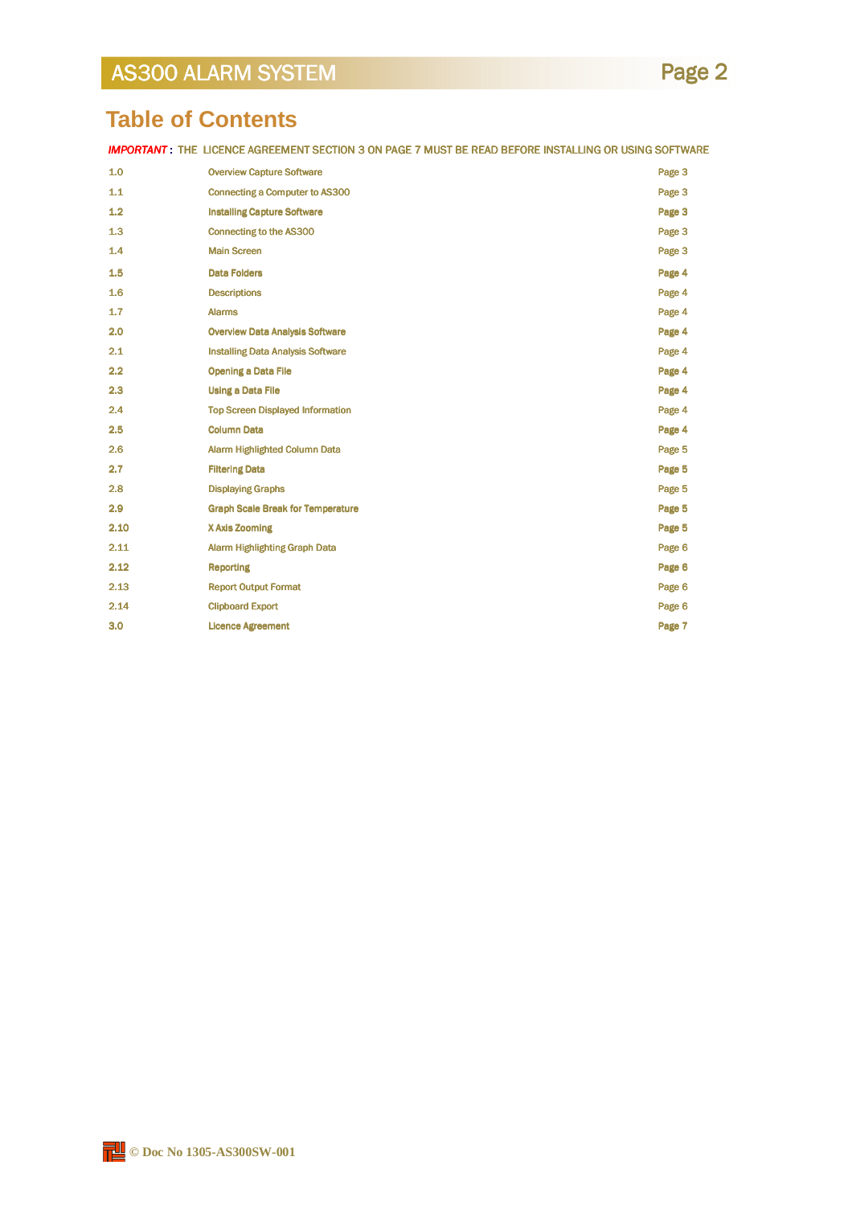# **Table of Contents**

IMPORTANT : THE LICENCE AGREEMENT SECTION 3 ON PAGE 7 MUST BE READ BEFORE INSTALLING OR USING SOFTWARE

| 1.0  | <b>Overview Capture Software</b>         | Page 3 |
|------|------------------------------------------|--------|
| 1.1  | <b>Connecting a Computer to AS300</b>    | Page 3 |
| 1.2  | <b>Installing Capture Software</b>       | Page 3 |
| 1.3  | <b>Connecting to the AS300</b>           | Page 3 |
| 1.4  | <b>Main Screen</b>                       | Page 3 |
| 1.5  | <b>Data Folders</b>                      | Page 4 |
| 1.6  | <b>Descriptions</b>                      | Page 4 |
| 1.7  | <b>Alarms</b>                            | Page 4 |
| 2.0  | <b>Overview Data Analysis Software</b>   | Page 4 |
| 2.1  | <b>Installing Data Analysis Software</b> | Page 4 |
| 2.2  | <b>Opening a Data File</b>               | Page 4 |
| 2.3  | <b>Using a Data File</b>                 | Page 4 |
| 2.4  | <b>Top Screen Displayed Information</b>  | Page 4 |
| 2.5  | <b>Column Data</b>                       | Page 4 |
| 2.6  | <b>Alarm Highlighted Column Data</b>     | Page 5 |
| 2.7  | <b>Filtering Data</b>                    | Page 5 |
| 2.8  | <b>Displaying Graphs</b>                 | Page 5 |
| 2.9  | <b>Graph Scale Break for Temperature</b> | Page 5 |
| 2.10 | X Axis Zooming                           | Page 5 |
| 2.11 | <b>Alarm Highlighting Graph Data</b>     | Page 6 |
| 2.12 | <b>Reporting</b>                         | Page 6 |
| 2.13 | <b>Report Output Format</b>              | Page 6 |
| 2.14 | <b>Clipboard Export</b>                  | Page 6 |
| 3.0  | <b>Licence Agreement</b>                 | Page 7 |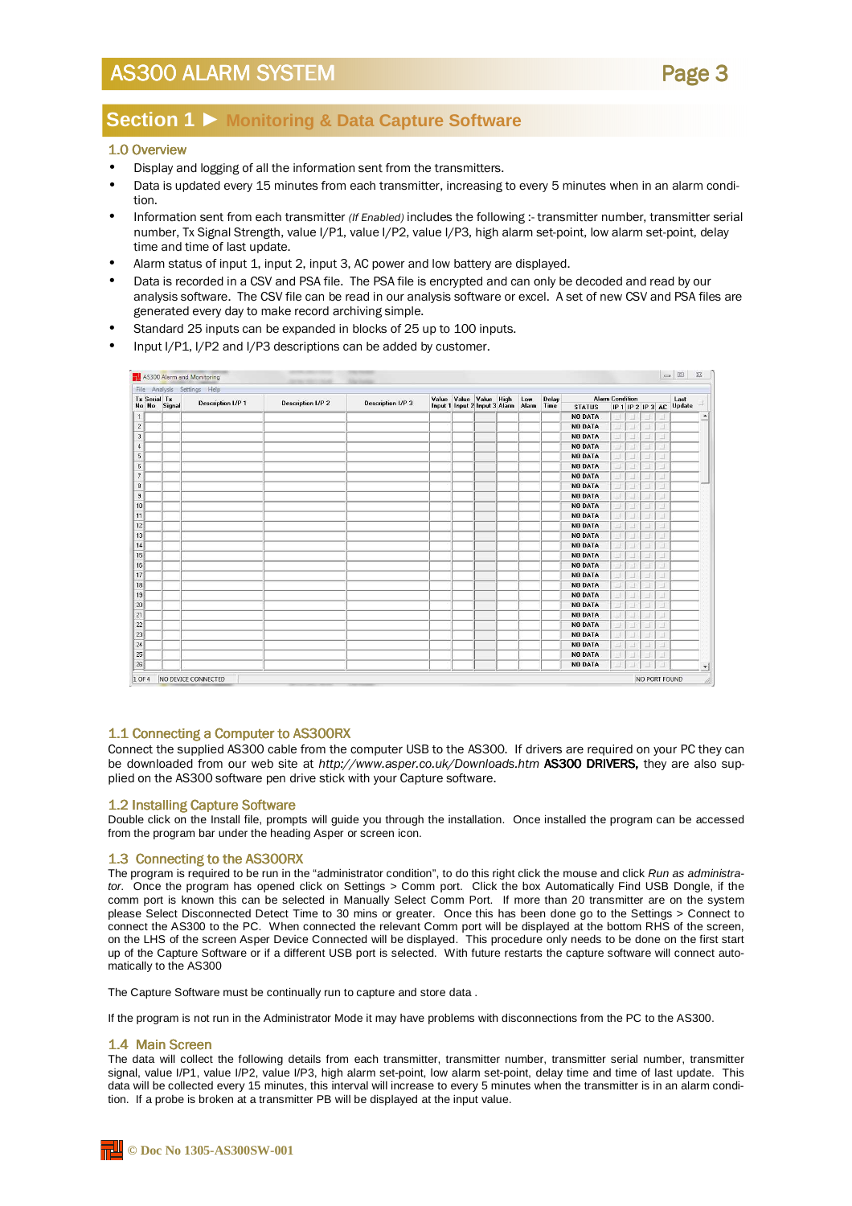## Page 3

### **Section 1** ► **Monitoring & Data Capture Software**

#### 1.0 Overview

- Display and logging of all the information sent from the transmitters.
- Data is updated every 15 minutes from each transmitter, increasing to every 5 minutes when in an alarm condition.
- Information sent from each transmitter (If Enabled) includes the following :- transmitter number, transmitter serial number, Tx Signal Strength, value I/P1, value I/P2, value I/P3, high alarm set-point, low alarm set-point, delay time and time of last update.
- Alarm status of input 1, input 2, input 3, AC power and low battery are displayed.
- Data is recorded in a CSV and PSA file. The PSA file is encrypted and can only be decoded and read by our analysis software. The CSV file can be read in our analysis software or excel. A set of new CSV and PSA files are generated every day to make record archiving simple.
- Standard 25 inputs can be expanded in blocks of 25 up to 100 inputs.
- Input I/P1, I/P2 and I/P3 descriptions can be added by customer.

|                                        |                          | File Analysis Settings Help |                   |                                                         |  |                   |       |               |                                             |     |   |  |                       |  |
|----------------------------------------|--------------------------|-----------------------------|-------------------|---------------------------------------------------------|--|-------------------|-------|---------------|---------------------------------------------|-----|---|--|-----------------------|--|
| <b>Tx Serial Tx</b><br>No No<br>Signal | <b>Description I/P 1</b> | <b>Description I/P 2</b>    | Description I/P 3 | Value Value Value High<br>Input 1 Input 2 Input 3 Alarm |  | Low<br>Alarm Time | Delay | <b>STATUS</b> | <b>Alarm Condition</b><br>IP 1 IP 2 IP 3 AC |     |   |  | Last<br><b>Update</b> |  |
|                                        |                          |                             |                   |                                                         |  |                   |       |               | <b>NO DATA</b>                              | 11, |   |  | M.                    |  |
|                                        |                          |                             |                   |                                                         |  |                   |       |               | <b>NO DATA</b>                              | 킈   | 킈 |  | 4                     |  |
|                                        |                          |                             |                   |                                                         |  |                   |       |               | <b>NO DATA</b>                              | 킈   |   |  | E                     |  |
|                                        |                          |                             |                   |                                                         |  |                   |       |               | <b>NO DATA</b>                              | ú,  |   |  | 4                     |  |
|                                        |                          |                             |                   |                                                         |  |                   |       |               | <b>NO DATA</b>                              | 븨   |   |  | a.                    |  |
|                                        |                          |                             |                   |                                                         |  |                   |       |               | <b>NO DATA</b>                              | 과   |   |  | 21                    |  |
|                                        |                          |                             |                   |                                                         |  |                   |       |               | <b>NO DATA</b>                              |     |   |  | E                     |  |
|                                        |                          |                             |                   |                                                         |  |                   |       |               | <b>NO DATA</b>                              | 킈   |   |  | 4                     |  |
|                                        |                          |                             |                   |                                                         |  |                   |       |               | <b>NO DATA</b>                              |     |   |  | E.                    |  |
|                                        |                          |                             |                   |                                                         |  |                   |       |               | <b>NO DATA</b>                              | 그   |   |  | 4                     |  |
|                                        |                          |                             |                   |                                                         |  |                   |       |               | <b>NO DATA</b>                              | 븨   |   |  | 11                    |  |
|                                        |                          |                             |                   |                                                         |  |                   |       |               | <b>NO DATA</b>                              | 화   |   |  | o.                    |  |
|                                        |                          |                             |                   |                                                         |  |                   |       |               | <b>NO DATA</b>                              | 킈   |   |  | E.                    |  |
|                                        |                          |                             |                   |                                                         |  |                   |       |               | <b>NO DATA</b>                              | 킈   |   |  | 4                     |  |
|                                        |                          |                             |                   |                                                         |  |                   |       |               | <b>NO DATA</b>                              |     |   |  | E.                    |  |
|                                        |                          |                             |                   |                                                         |  |                   |       |               | <b>NO DATA</b>                              | 과   |   |  | Щ                     |  |
|                                        |                          |                             |                   |                                                         |  |                   |       |               | <b>NO DATA</b>                              | 븨   |   |  | 11                    |  |
|                                        |                          |                             |                   |                                                         |  |                   |       |               | <b>NO DATA</b>                              | 2F  |   |  | 4                     |  |
|                                        |                          |                             |                   |                                                         |  |                   |       |               | <b>NO DATA</b>                              | 킈   |   |  | B.                    |  |
|                                        |                          |                             |                   |                                                         |  |                   |       |               | <b>NO DATA</b>                              | 의   |   |  | 21                    |  |
|                                        |                          |                             |                   |                                                         |  |                   |       |               | <b>NO DATA</b>                              | 븨   |   |  | a,                    |  |
|                                        |                          |                             |                   |                                                         |  |                   |       |               | <b>NO DATA</b>                              | 킈   |   |  | 11                    |  |
|                                        |                          |                             |                   |                                                         |  |                   |       |               | <b>NO DATA</b>                              |     |   |  | A.                    |  |
|                                        |                          |                             |                   |                                                         |  |                   |       |               | <b>NO DATA</b>                              | 킈   |   |  | 4                     |  |
|                                        |                          |                             |                   |                                                         |  |                   |       |               | <b>NO DATA</b>                              |     |   |  | a,                    |  |
|                                        |                          |                             |                   |                                                         |  |                   |       |               | <b>NO DATA</b>                              | o)  |   |  |                       |  |

#### 1.1 Connecting a Computer to AS300RX

Connect the supplied AS300 cable from the computer USB to the AS300. If drivers are required on your PC they can be downloaded from our web site at http://www.asper.co.uk/Downloads.htm AS300 DRIVERS, they are also supplied on the AS300 software pen drive stick with your Capture software.

#### 1.2 Installing Capture Software

Double click on the Install file, prompts will guide you through the installation. Once installed the program can be accessed from the program bar under the heading Asper or screen icon.

#### 1.3 Connecting to the AS300RX

The program is required to be run in the "administrator condition", to do this right click the mouse and click Run as administrator. Once the program has opened click on Settings > Comm port. Click the box Automatically Find USB Dongle, if the comm port is known this can be selected in Manually Select Comm Port. If more than 20 transmitter are on the system please Select Disconnected Detect Time to 30 mins or greater. Once this has been done go to the Settings > Connect to connect the AS300 to the PC. When connected the relevant Comm port will be displayed at the bottom RHS of the screen, on the LHS of the screen Asper Device Connected will be displayed. This procedure only needs to be done on the first start up of the Capture Software or if a different USB port is selected. With future restarts the capture software will connect automatically to the AS300

The Capture Software must be continually run to capture and store data .

If the program is not run in the Administrator Mode it may have problems with disconnections from the PC to the AS300.

#### 1.4 Main Screen

The data will collect the following details from each transmitter, transmitter number, transmitter serial number, transmitter signal, value I/P1, value I/P2, value I/P3, high alarm set-point, low alarm set-point, delay time and time of last update. This data will be collected every 15 minutes, this interval will increase to every 5 minutes when the transmitter is in an alarm condition. If a probe is broken at a transmitter PB will be displayed at the input value.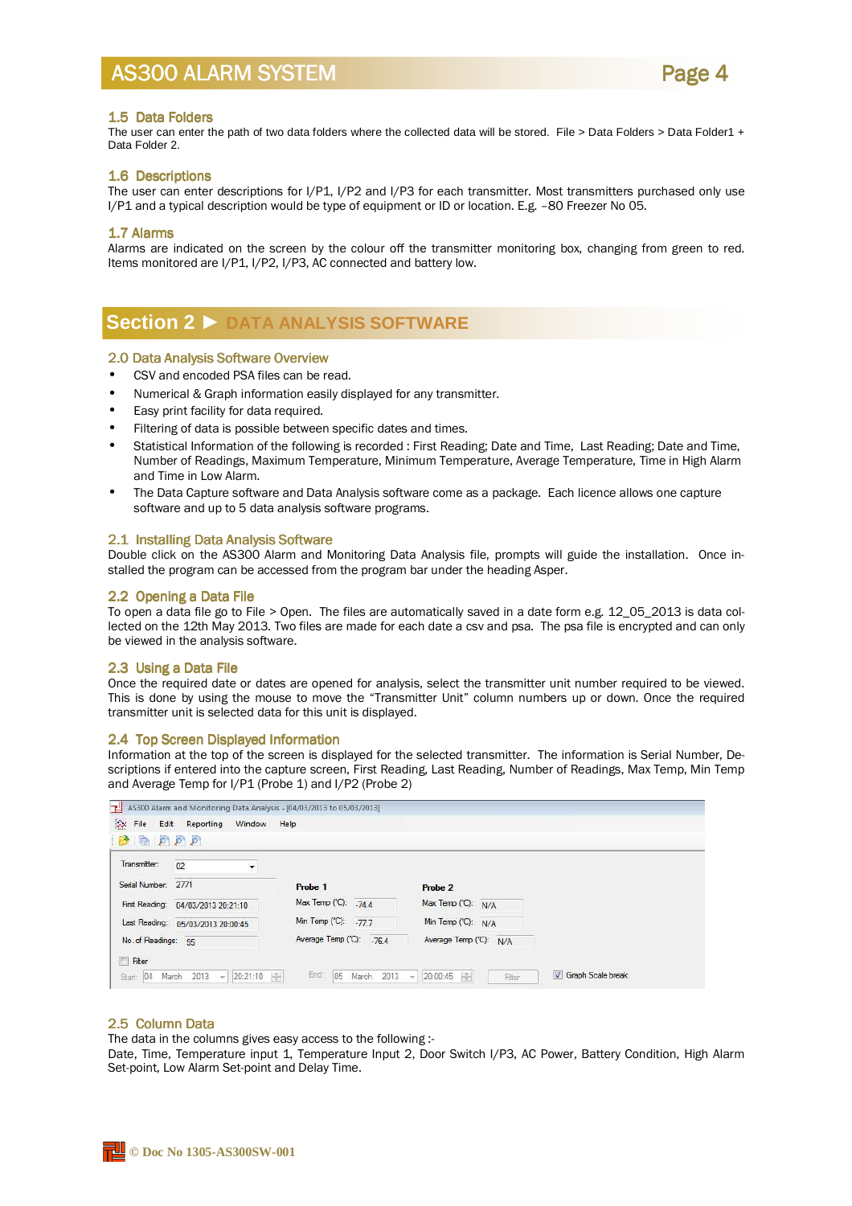

#### 1.5 Data Folders

The user can enter the path of two data folders where the collected data will be stored. File > Data Folders > Data Folder1 + Data Folder 2.

#### 1.6 Descriptions

The user can enter descriptions for I/P1, I/P2 and I/P3 for each transmitter. Most transmitters purchased only use I/P1 and a typical description would be type of equipment or ID or location. E.g. –80 Freezer No 05.

#### 1.7 Alarms

Alarms are indicated on the screen by the colour off the transmitter monitoring box, changing from green to red. Items monitored are I/P1, I/P2, I/P3, AC connected and battery low.

### **Section 2** ► **DATA ANALYSIS SOFTWARE**

#### 2.0 Data Analysis Software Overview

- CSV and encoded PSA files can be read.
- Numerical & Graph information easily displayed for any transmitter.
- Easy print facility for data required.
- Filtering of data is possible between specific dates and times.
- Statistical Information of the following is recorded : First Reading; Date and Time, Last Reading; Date and Time, Number of Readings, Maximum Temperature, Minimum Temperature, Average Temperature, Time in High Alarm and Time in Low Alarm.
- The Data Capture software and Data Analysis software come as a package. Each licence allows one capture software and up to 5 data analysis software programs.

#### 2.1 Installing Data Analysis Software

Double click on the AS300 Alarm and Monitoring Data Analysis file, prompts will guide the installation. Once installed the program can be accessed from the program bar under the heading Asper.

#### 2.2 Opening a Data File

To open a data file go to File > Open. The files are automatically saved in a date form e.g. 12\_05\_2013 is data collected on the 12th May 2013. Two files are made for each date a csv and psa. The psa file is encrypted and can only be viewed in the analysis software.

#### 2.3 Using a Data File

Once the required date or dates are opened for analysis, select the transmitter unit number required to be viewed. This is done by using the mouse to move the "Transmitter Unit" column numbers up or down. Once the required transmitter unit is selected data for this unit is displayed.

#### 2.4 Top Screen Displayed Information

Information at the top of the screen is displayed for the selected transmitter. The information is Serial Number, Descriptions if entered into the capture screen, First Reading, Last Reading, Number of Readings, Max Temp, Min Temp and Average Temp for I/P1 (Probe 1) and I/P2 (Probe 2)

| $\sim$<br>P P P                            |                           |                        |  |
|--------------------------------------------|---------------------------|------------------------|--|
| Transmitter:<br>$\blacktriangledown$<br>02 |                           |                        |  |
| Serial Number: 2771                        | Probe 1                   | Probe 2                |  |
| First Reading: 04/03/2013 20:21:10         | Max Temp (°C):<br>$-744$  | Max Temp (°C):<br>N/A  |  |
| Last Reading: 05/03/2013 20:00:45          | Min Temp (°C):<br>$-77.7$ | Min Temp (°C): N/A     |  |
| No. of Readings: 95                        | Average Temp (°C): -76.4  | Average Temp (°C): N/A |  |
| Filter                                     |                           |                        |  |

#### 2.5 Column Data

The data in the columns gives easy access to the following :-

Date, Time, Temperature input 1, Temperature Input 2, Door Switch I/P3, AC Power, Battery Condition, High Alarm Set-point, Low Alarm Set-point and Delay Time.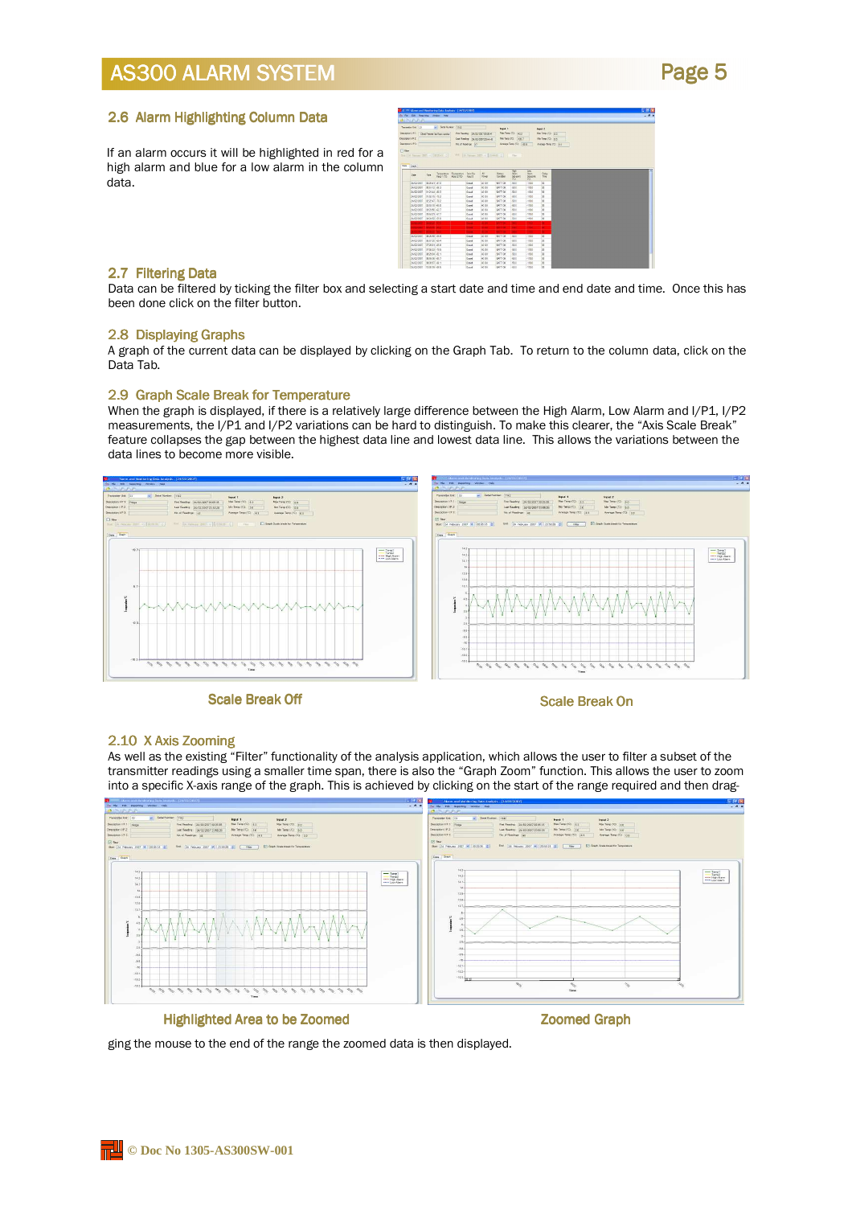### Page 5

#### 2.6 Alarm Highlighting Column Data

If an alarm occurs it will be highlighted in red for a high alarm and blue for a low alarm in the column data.

| 1. 45 xt. Marm and Nombering Data Analysis 124/12/2007)<br>Ski Fig. Call Reported Intellet Tech- |                         |                         |                    |                           |                                   |                                                                                |                       |                      |                              |  |  |
|--------------------------------------------------------------------------------------------------|-------------------------|-------------------------|--------------------|---------------------------|-----------------------------------|--------------------------------------------------------------------------------|-----------------------|----------------------|------------------------------|--|--|
| きにいたれ                                                                                            |                         |                         |                    |                           |                                   |                                                                                |                       |                      |                              |  |  |
| Thranese Unit 21                                                                                 |                         | will Send Number: [shap |                    |                           |                                   | band 1                                                                         |                       |                      | Input 2                      |  |  |
| Description Li P 1: Qualif Freeser 34 Marr constant                                              |                         |                         |                    |                           | Fed Resides 24/02/200709:00 41    |                                                                                | Mai Tare (C) 437      |                      | Max Feno (10) in a           |  |  |
| Description VP 2                                                                                 |                         |                         |                    |                           | Liet Firednig 34-03-0007 23-44-82 |                                                                                | No Test (C) 139 1     |                      | <b>Mix Tanja (YC)</b> All to |  |  |
| Description L.P.S.                                                                               |                         |                         |                    | <b>Bald Roadings: (c)</b> |                                   |                                                                                | Ananya Terry (S) 1939 |                      | Average Tarra (17). (cd.)    |  |  |
|                                                                                                  |                         |                         |                    |                           |                                   |                                                                                |                       |                      |                              |  |  |
|                                                                                                  |                         |                         |                    |                           |                                   | this [30 Secure 2007 = [2020-01 = ]  2006 [21 Secure 2007 = [22-04-01 = ]  The |                       |                      |                              |  |  |
|                                                                                                  |                         |                         |                    |                           |                                   |                                                                                |                       |                      |                              |  |  |
| <b>Date</b> Gaph                                                                                 |                         |                         |                    |                           |                                   |                                                                                |                       |                      |                              |  |  |
|                                                                                                  |                         |                         |                    |                           |                                   |                                                                                | Her-                  | Lew                  |                              |  |  |
| Dete                                                                                             | $1 - 1$                 | Senperature:            | <b>Temperature</b> | : Dept Sw                 | AC-                               | <b>Eutors</b>                                                                  | <b>Ram</b>            | Abro-                | Delay                        |  |  |
|                                                                                                  |                         | Heut TCCI-              | <b>Mout 2 FOR</b>  | Input D                   | <b>Pawer</b>                      | Condition                                                                      | Setovico<br>CO.       | Sergeen.<br>$\infty$ | Ting                         |  |  |
| 34/33 (330)                                                                                      | 032041-070              |                         |                    | Cosed                     | AC OK                             | BATTOK                                                                         | 40.0                  | 1130                 | $\mathbf{x}$                 |  |  |
| 34/02/2007                                                                                       | 005112 -063             |                         |                    | Oswell                    | AC OK                             | <b>BATTOK</b>                                                                  | 651                   | $-1130$              | $\overline{\mathbf{x}}$      |  |  |
| 24/10/2007                                                                                       | 01:21:44 00:3           |                         |                    | Dream                     | AC OK                             | <b>INTTOK</b>                                                                  | 45.5                  | 1120                 | M                            |  |  |
| 34/03/3007                                                                                       | 01.62.06 .26.2          |                         |                    | <b>Creat</b>              | AC OK                             | <b>BATT OK</b>                                                                 | 65.5                  | 1120                 | <sub>30</sub>                |  |  |
| 24/32/2007                                                                                       | 02247-722               |                         |                    | Ocean                     | AC OK                             | <b>BATT OK</b>                                                                 | -501                  | $-1110$              | $^{30}$                      |  |  |
| 26/03/2007                                                                                       | 025110 455              |                         |                    | Ocean                     | AC OK                             | <b>BATTON</b>                                                                  | 451                   | $-1100$              | $\mathbf{x}$                 |  |  |
| 31/02/2007                                                                                       | 102140-427              |                         |                    | Count                     | AC OK                             | <b>SATTOK</b>                                                                  | 451                   | $-2880$              | œ                            |  |  |
| 31/03/30/07                                                                                      | 036429 677              |                         |                    | Qued                      | AC OK                             | <b>BATT OK</b>                                                                 | 461                   | $-1180$              | $\frac{1}{2}$                |  |  |
| 2410/2007 04:24:52 40:0                                                                          |                         |                         |                    | Ocean                     | AC OK                             | <b>LATT OK</b>                                                                 | 601                   | 1130                 | $^{*}$                       |  |  |
| <b>SERVICE</b>                                                                                   | <b><i>DANSA ARE</i></b> |                         |                    | ٠                         | <b>ROP</b>                        | <b>AAPER</b>                                                                   | w                     | <b>TEMP</b>          | т                            |  |  |
| <b>CONTRACTOR</b> AND                                                                            |                         |                         |                    | $\sim$                    | ××                                | <b>MODE</b>                                                                    | $\mathbf{a}$          | <b>AT FEE</b>        | ×                            |  |  |
| <b>MAINEY COMMERCIAL</b>                                                                         |                         |                         |                    | <b>COLOR</b>              | <b>MOV</b>                        | <b>ALC: 04</b>                                                                 | $\mathbf{r}$          | <b>The Co</b>        | ×                            |  |  |
| SLOUGHT DEMAN ARM                                                                                |                         |                         |                    | OWE                       | AC OK                             | <b>BATTOK</b>                                                                  | 552                   | $1100 - 1100$        | <b>M</b>                     |  |  |
| 34/03/2007                                                                                       | 055730.484              |                         |                    | Cowd                      | AC OK                             | <b>BATTOK</b>                                                                  | 401                   | $-1120$              | ×                            |  |  |
| 34/03/2007                                                                                       | 072501-052              |                         |                    | Oceand                    | AC OK                             | <b>SATT OK</b>                                                                 | 452                   | 1130                 | $\mathbf{x}$                 |  |  |
| 34/07/2007                                                                                       | 0764:03 -705            |                         |                    | <b>Creek</b>              | AC OK                             | <b>RATT OK</b>                                                                 | 551                   | 1130                 | 56                           |  |  |
| 24/10/2007                                                                                       | 092914 421              |                         |                    | Ocean                     | AC OK                             | BATT OR                                                                        | 651                   | 1130                 | 36                           |  |  |
| 36/32/3907                                                                                       | 035926-457              |                         |                    | Cowd                      | AC OK                             | <b>EATT OK</b>                                                                 | -501                  | $-1130$              | $\boldsymbol{\mathsf{x}}$    |  |  |
| 34/93/2007                                                                                       | 093017-061              |                         |                    | Count                     | AC OK                             | EATT OK                                                                        | 451                   | $-182.0$             | ×                            |  |  |
| 36/02/2022 13:00:00 4KS                                                                          |                         |                         |                    | <b>Doord</b>              | ACOK                              | <b>EATTOK</b>                                                                  | -651                  | -1120                | ü                            |  |  |

#### 2.7 Filtering Data

Data can be filtered by ticking the filter box and selecting a start date and time and end date and time. Once this has been done click on the filter button.

#### 2.8 Displaying Graphs

A graph of the current data can be displayed by clicking on the Graph Tab. To return to the column data, click on the Data Tab.

#### 2.9 Graph Scale Break for Temperature

When the graph is displayed, if there is a relatively large difference between the High Alarm, Low Alarm and I/P1, I/P2 measurements, the I/P1 and I/P2 variations can be hard to distinguish. To make this clearer, the "Axis Scale Break" feature collapses the gap between the highest data line and lowest data line. This allows the variations between the data lines to become more visible.



Scale Break Off Scale Break On

#### 2.10 X Axis Zooming

As well as the existing "Filter" functionality of the analysis application, which allows the user to filter a subset of the transmitter readings using a smaller time span, there is also the "Graph Zoom" function. This allows the user to zoom into a specific X-axis range of the graph. This is achieved by clicking on the start of the range required and then drag-



#### Highlighted Area to be Zoomed Zoomed Graph

ging the mouse to the end of the range the zoomed data is then displayed.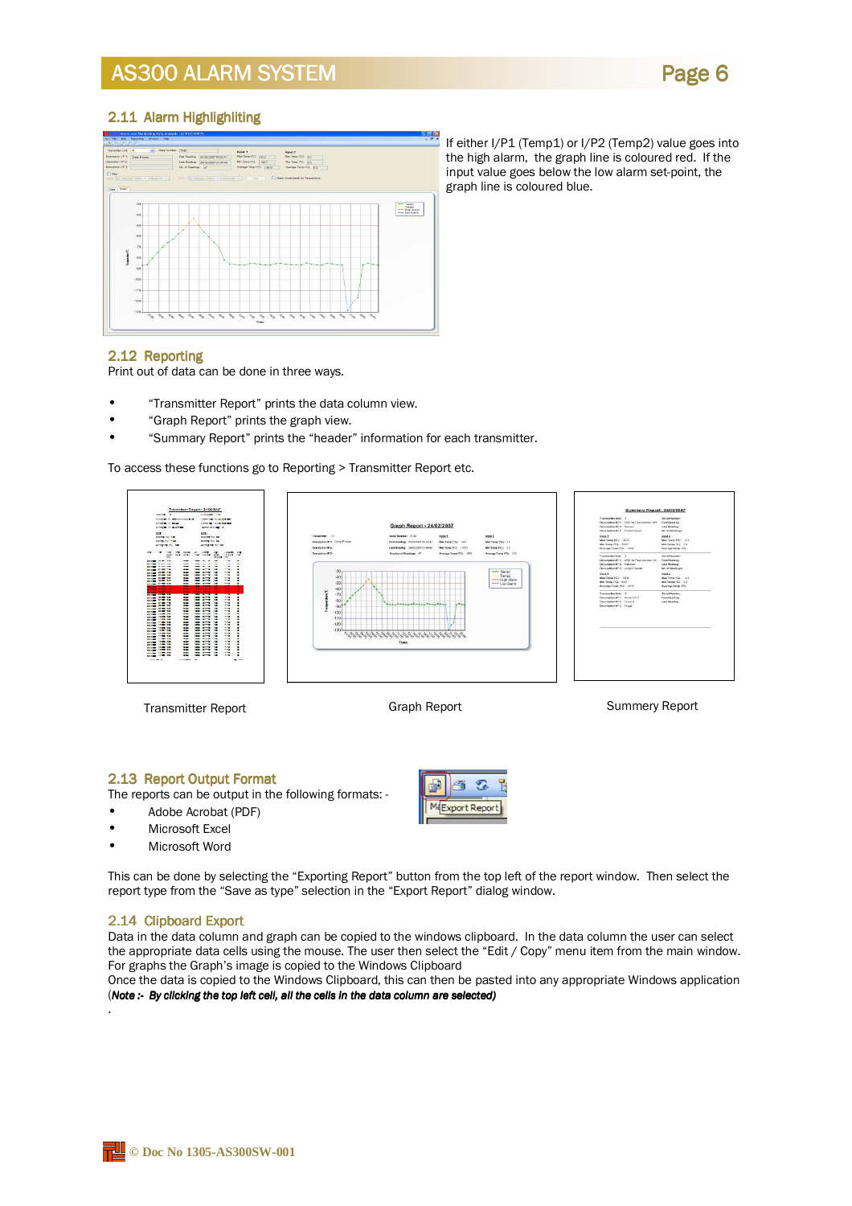

#### 2.11 Alarm Highlighliting



If either I/P1 (Temp1) or I/P2 (Temp2) value goes into the high alarm, the graph line is coloured red. If the input value goes below the low alarm set-point, the graph line is coloured blue.

#### 2.12 Reporting 2.12

Print out of data can be done in three ways.

- "Transmitter Report" prints the data column view.
- "Graph Report" prints the graph view.
- "Summary Report" prints the "header" information for each transmitter.

To access these functions go to Reporting > Transmitter Report etc.



#### 2.13 Report Output Format 2.13 Report Output Format

The reports can be output in the following formats: -

- Adobe Acrobat (PDF)
- Microsoft Excel
- Microsoft Word

Đ Ē 甬 MiExport Report

This can be done by selecting the "Exporting Report" button from the top left of the report window. Then select the report type from the "Save as type" selection in the "Export Report" dialog window.

#### 2.14 Clipboard Export 2.14 Clipboard Export

.

Data in the data column and graph can be copied to the windows clipboard. In the data column the user can select the appropriate data cells using the mouse. The user then select the "Edit / Copy" menu item from the main window. For graphs the Graph's image is copied to the Windows Clipboard

Once the data is copied to the Windows Clipboard, this can then be pasted into any appropriate Windows application (Note  $:$  By clicking the top left cell, all the cells in the data column are selected)